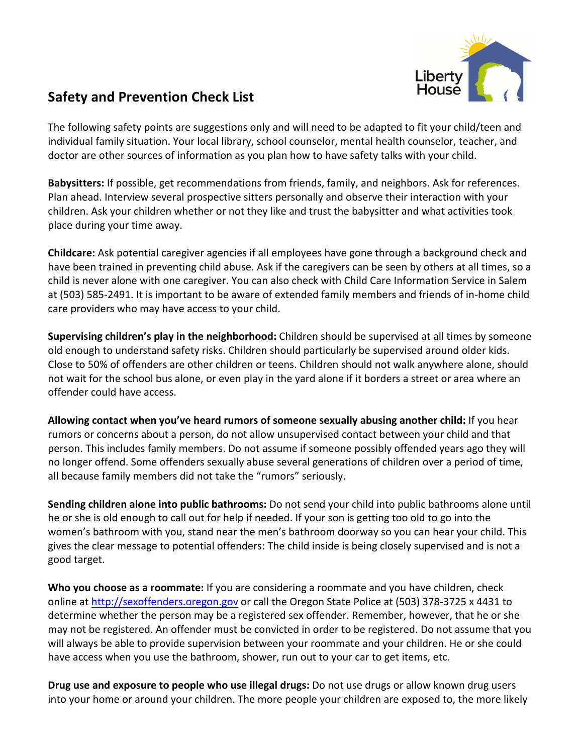

## Safety and Prevention Check List

The following safety points are suggestions only and will need to be adapted to fit your child/teen and individual family situation. Your local library, school counselor, mental health counselor, teacher, and doctor are other sources of information as you plan how to have safety talks with your child.

**Babysitters:** If possible, get recommendations from friends, family, and neighbors. Ask for references. Plan ahead. Interview several prospective sitters personally and observe their interaction with your children. Ask your children whether or not they like and trust the babysitter and what activities took place during your time away.

**Childcare:** Ask potential caregiver agencies if all employees have gone through a background check and have been trained in preventing child abuse. Ask if the caregivers can be seen by others at all times, so a child is never alone with one caregiver. You can also check with Child Care Information Service in Salem at (503) 585-2491. It is important to be aware of extended family members and friends of in-home child care providers who may have access to your child.

**Supervising children's play in the neighborhood:** Children should be supervised at all times by someone old enough to understand safety risks. Children should particularly be supervised around older kids. Close to 50% of offenders are other children or teens. Children should not walk anywhere alone, should not wait for the school bus alone, or even play in the yard alone if it borders a street or area where an offender could have access.

Allowing contact when you've heard rumors of someone sexually abusing another child: If you hear rumors or concerns about a person, do not allow unsupervised contact between your child and that person. This includes family members. Do not assume if someone possibly offended years ago they will no longer offend. Some offenders sexually abuse several generations of children over a period of time, all because family members did not take the "rumors" seriously.

**Sending children alone into public bathrooms:** Do not send your child into public bathrooms alone until he or she is old enough to call out for help if needed. If your son is getting too old to go into the women's bathroom with you, stand near the men's bathroom doorway so you can hear your child. This gives the clear message to potential offenders: The child inside is being closely supervised and is not a good target.

**Who you choose as a roommate:** If you are considering a roommate and you have children, check online at http://sexoffenders.oregon.gov or call the Oregon State Police at (503) 378-3725 x 4431 to determine whether the person may be a registered sex offender. Remember, however, that he or she may not be registered. An offender must be convicted in order to be registered. Do not assume that you will always be able to provide supervision between your roommate and your children. He or she could have access when you use the bathroom, shower, run out to your car to get items, etc.

**Drug use and exposure to people who use illegal drugs:** Do not use drugs or allow known drug users into your home or around your children. The more people your children are exposed to, the more likely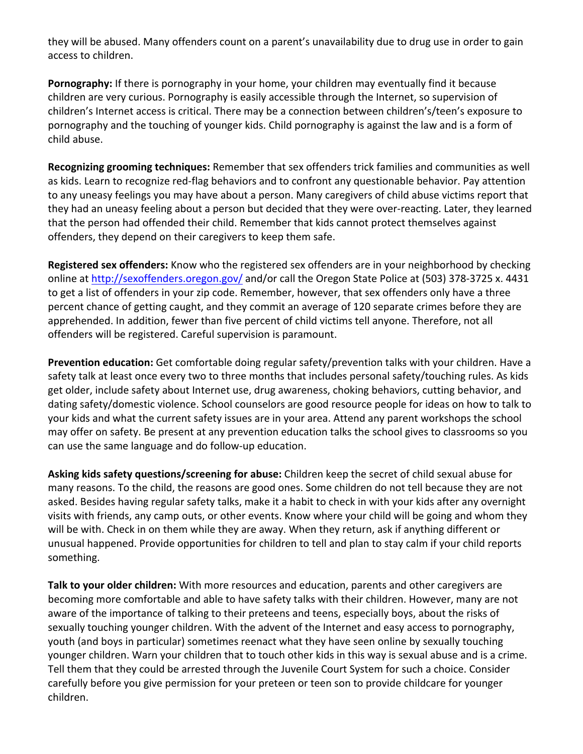they will be abused. Many offenders count on a parent's unavailability due to drug use in order to gain access to children.

**Pornography:** If there is pornography in your home, your children may eventually find it because children are very curious. Pornography is easily accessible through the Internet, so supervision of children's Internet access is critical. There may be a connection between children's/teen's exposure to pornography and the touching of younger kids. Child pornography is against the law and is a form of child abuse.

**Recognizing grooming techniques:** Remember that sex offenders trick families and communities as well as kids. Learn to recognize red-flag behaviors and to confront any questionable behavior. Pay attention to any uneasy feelings you may have about a person. Many caregivers of child abuse victims report that they had an uneasy feeling about a person but decided that they were over-reacting. Later, they learned that the person had offended their child. Remember that kids cannot protect themselves against offenders, they depend on their caregivers to keep them safe.

**Registered sex offenders:** Know who the registered sex offenders are in your neighborhood by checking online at http://sexoffenders.oregon.gov/ and/or call the Oregon State Police at (503) 378-3725 x. 4431 to get a list of offenders in your zip code. Remember, however, that sex offenders only have a three percent chance of getting caught, and they commit an average of 120 separate crimes before they are apprehended. In addition, fewer than five percent of child victims tell anyone. Therefore, not all offenders will be registered. Careful supervision is paramount.

**Prevention education:** Get comfortable doing regular safety/prevention talks with your children. Have a safety talk at least once every two to three months that includes personal safety/touching rules. As kids get older, include safety about Internet use, drug awareness, choking behaviors, cutting behavior, and dating safety/domestic violence. School counselors are good resource people for ideas on how to talk to your kids and what the current safety issues are in your area. Attend any parent workshops the school may offer on safety. Be present at any prevention education talks the school gives to classrooms so you can use the same language and do follow-up education.

Asking kids safety questions/screening for abuse: Children keep the secret of child sexual abuse for many reasons. To the child, the reasons are good ones. Some children do not tell because they are not asked. Besides having regular safety talks, make it a habit to check in with your kids after any overnight visits with friends, any camp outs, or other events. Know where your child will be going and whom they will be with. Check in on them while they are away. When they return, ask if anything different or unusual happened. Provide opportunities for children to tell and plan to stay calm if your child reports something.

**Talk to your older children:** With more resources and education, parents and other caregivers are becoming more comfortable and able to have safety talks with their children. However, many are not aware of the importance of talking to their preteens and teens, especially boys, about the risks of sexually touching younger children. With the advent of the Internet and easy access to pornography, youth (and boys in particular) sometimes reenact what they have seen online by sexually touching younger children. Warn your children that to touch other kids in this way is sexual abuse and is a crime. Tell them that they could be arrested through the Juvenile Court System for such a choice. Consider carefully before you give permission for your preteen or teen son to provide childcare for younger children.